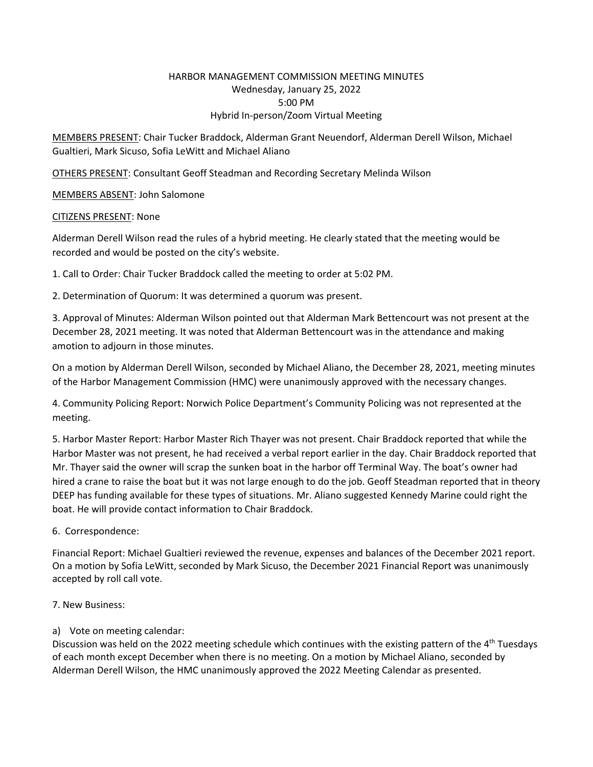#### HARBOR MANAGEMENT COMMISSION MEETING MINUTES Wednesday, January 25, 2022 5:00 PM Hybrid In‐person/Zoom Virtual Meeting

MEMBERS PRESENT: Chair Tucker Braddock, Alderman Grant Neuendorf, Alderman Derell Wilson, Michael Gualtieri, Mark Sicuso, Sofia LeWitt and Michael Aliano

OTHERS PRESENT: Consultant Geoff Steadman and Recording Secretary Melinda Wilson

MEMBERS ABSENT: John Salomone

#### CITIZENS PRESENT: None

Alderman Derell Wilson read the rules of a hybrid meeting. He clearly stated that the meeting would be recorded and would be posted on the city's website.

1. Call to Order: Chair Tucker Braddock called the meeting to order at 5:02 PM.

2. Determination of Quorum: It was determined a quorum was present.

3. Approval of Minutes: Alderman Wilson pointed out that Alderman Mark Bettencourt was not present at the December 28, 2021 meeting. It was noted that Alderman Bettencourt was in the attendance and making amotion to adjourn in those minutes.

On a motion by Alderman Derell Wilson, seconded by Michael Aliano, the December 28, 2021, meeting minutes of the Harbor Management Commission (HMC) were unanimously approved with the necessary changes.

4. Community Policing Report: Norwich Police Department's Community Policing was not represented at the meeting.

5. Harbor Master Report: Harbor Master Rich Thayer was not present. Chair Braddock reported that while the Harbor Master was not present, he had received a verbal report earlier in the day. Chair Braddock reported that Mr. Thayer said the owner will scrap the sunken boat in the harbor off Terminal Way. The boat's owner had hired a crane to raise the boat but it was not large enough to do the job. Geoff Steadman reported that in theory DEEP has funding available for these types of situations. Mr. Aliano suggested Kennedy Marine could right the boat. He will provide contact information to Chair Braddock.

6. Correspondence:

Financial Report: Michael Gualtieri reviewed the revenue, expenses and balances of the December 2021 report. On a motion by Sofia LeWitt, seconded by Mark Sicuso, the December 2021 Financial Report was unanimously accepted by roll call vote.

7. New Business:

## a) Vote on meeting calendar:

Discussion was held on the 2022 meeting schedule which continues with the existing pattern of the 4<sup>th</sup> Tuesdays of each month except December when there is no meeting. On a motion by Michael Aliano, seconded by Alderman Derell Wilson, the HMC unanimously approved the 2022 Meeting Calendar as presented.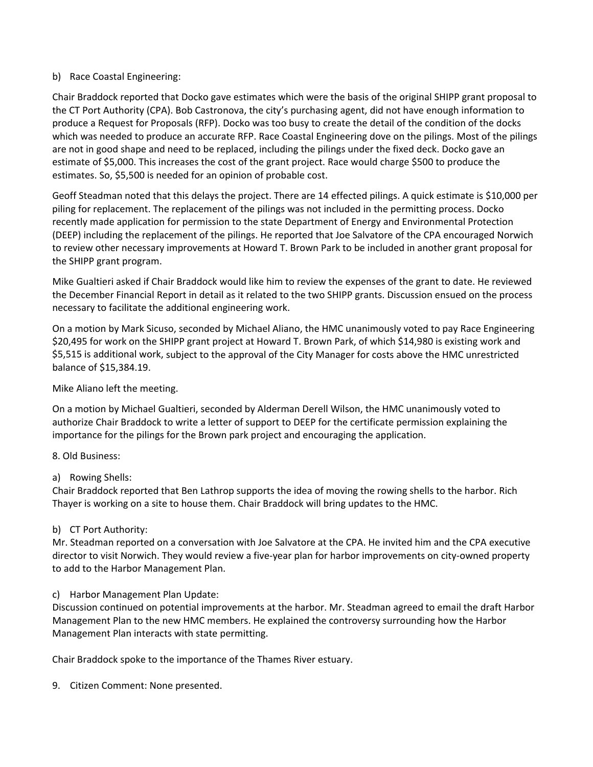#### b) Race Coastal Engineering:

Chair Braddock reported that Docko gave estimates which were the basis of the original SHIPP grant proposal to the CT Port Authority (CPA). Bob Castronova, the city's purchasing agent, did not have enough information to produce a Request for Proposals (RFP). Docko was too busy to create the detail of the condition of the docks which was needed to produce an accurate RFP. Race Coastal Engineering dove on the pilings. Most of the pilings are not in good shape and need to be replaced, including the pilings under the fixed deck. Docko gave an estimate of \$5,000. This increases the cost of the grant project. Race would charge \$500 to produce the estimates. So, \$5,500 is needed for an opinion of probable cost.

Geoff Steadman noted that this delays the project. There are 14 effected pilings. A quick estimate is \$10,000 per piling for replacement. The replacement of the pilings was not included in the permitting process. Docko recently made application for permission to the state Department of Energy and Environmental Protection (DEEP) including the replacement of the pilings. He reported that Joe Salvatore of the CPA encouraged Norwich to review other necessary improvements at Howard T. Brown Park to be included in another grant proposal for the SHIPP grant program.

Mike Gualtieri asked if Chair Braddock would like him to review the expenses of the grant to date. He reviewed the December Financial Report in detail as it related to the two SHIPP grants. Discussion ensued on the process necessary to facilitate the additional engineering work.

On a motion by Mark Sicuso, seconded by Michael Aliano, the HMC unanimously voted to pay Race Engineering \$20,495 for work on the SHIPP grant project at Howard T. Brown Park, of which \$14,980 is existing work and \$5,515 is additional work, subject to the approval of the City Manager for costs above the HMC unrestricted balance of \$15,384.19.

Mike Aliano left the meeting.

On a motion by Michael Gualtieri, seconded by Alderman Derell Wilson, the HMC unanimously voted to authorize Chair Braddock to write a letter of support to DEEP for the certificate permission explaining the importance for the pilings for the Brown park project and encouraging the application.

8. Old Business:

a) Rowing Shells:

Chair Braddock reported that Ben Lathrop supports the idea of moving the rowing shells to the harbor. Rich Thayer is working on a site to house them. Chair Braddock will bring updates to the HMC.

## b) CT Port Authority:

Mr. Steadman reported on a conversation with Joe Salvatore at the CPA. He invited him and the CPA executive director to visit Norwich. They would review a five‐year plan for harbor improvements on city‐owned property to add to the Harbor Management Plan.

## c) Harbor Management Plan Update:

Discussion continued on potential improvements at the harbor. Mr. Steadman agreed to email the draft Harbor Management Plan to the new HMC members. He explained the controversy surrounding how the Harbor Management Plan interacts with state permitting.

Chair Braddock spoke to the importance of the Thames River estuary.

9. Citizen Comment: None presented.